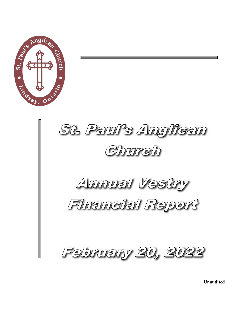



**Unaudited**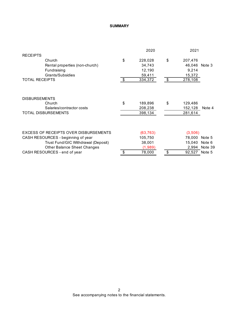#### **SUMMARY**

|                                       | 2020          | 2021                |         |
|---------------------------------------|---------------|---------------------|---------|
| <b>RECEIPTS</b>                       |               |                     |         |
| Church                                | \$<br>228,028 | \$<br>207,476       |         |
| Rental properties (non-church)        | 34,743        | 46,046 Note 3       |         |
| Fundraising                           | 12,190        | 9,214               |         |
| Grants/Subsidies                      | 59,411        | 15,372              |         |
| <b>TOTAL RECEIPTS</b>                 | \$<br>334,372 | \$<br>278,108       |         |
| <b>DISBURSEMENTS</b>                  |               |                     |         |
| Church                                | \$<br>189,896 | \$<br>129,486       |         |
| Salaries/contractor costs             | 208,238       | 152,128             | Note 4  |
| <b>TOTAL DISBURSEMENTS</b>            | 398,134       | 281,614             |         |
|                                       |               |                     |         |
| EXCESS OF RECEIPTS OVER DISBURSEMENTS | (63, 763)     | (3,506)             |         |
| CASH RESOURCES - beginning of year    | 105,750       | 78,000              | Note 5  |
| Trust Fund/GIC Withdrawal (Deposit)   | 38,001        | 15.040              | Note 6  |
| <b>Other Balance Sheet Changes</b>    | (1,989)       | 2,994               | Note 39 |
| CASH RESOURCES - end of year          | \$<br>78,000  | \$<br>92,527 Note 5 |         |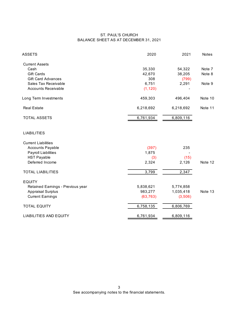#### ST. PAUL'S CHURCH BALANCE SHEET AS AT DECEMBER 31, 2021

| <b>ASSETS</b>                     | 2020      | 2021      | <b>Notes</b> |
|-----------------------------------|-----------|-----------|--------------|
| <b>Current Assets</b>             |           |           |              |
| Cash                              | 35,330    | 54,322    | Note 7       |
| <b>Gift Cards</b>                 | 42,670    | 38,205    | Note 8       |
| <b>Gift Card Advances</b>         | 308       | (799)     |              |
| Sales Tax Receivable              | 6,751     | 2,291     | Note 9       |
| <b>Accounts Receivable</b>        | (1, 120)  |           |              |
| Long Term Investments             | 459,303   | 496,404   | Note 10      |
| <b>Real Estate</b>                | 6,218,692 | 6,218,692 | Note 11      |
| <b>TOTAL ASSETS</b>               | 6,761,934 | 6,809,116 |              |
| <b>LIABILITIES</b>                |           |           |              |
| <b>Current Liabilities</b>        |           |           |              |
| <b>Accounts Payable</b>           | (397)     | 235       |              |
| Payroll Liabilities               | 1,875     |           |              |
| <b>HST Payable</b>                | (3)       | (15)      |              |
| Deferred Income                   | 2,324     | 2,126     | Note 12      |
| <b>TOTAL LIABILITIES</b>          | 3,799     | 2,347     |              |
| <b>EQUITY</b>                     |           |           |              |
| Retained Earnings - Previous year | 5,838,621 | 5,774,858 |              |
| <b>Appraisal Surplus</b>          | 983,277   | 1,035,418 | Note 13      |
| <b>Current Earnings</b>           | (63, 763) | (3,506)   |              |
| <b>TOTAL EQUITY</b>               | 6,758,135 | 6,806,769 |              |
| <b>LIABILITIES AND EQUITY</b>     | 6,761,934 | 6,809,116 |              |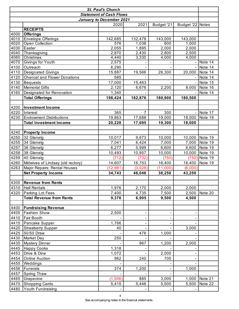| <b>St. Paul's Church</b> |                                            |                                 |                |            |                  |         |
|--------------------------|--------------------------------------------|---------------------------------|----------------|------------|------------------|---------|
|                          |                                            | <b>Statement of Cash Flows</b>  |                |            |                  |         |
|                          |                                            | <b>January to December 2021</b> |                |            |                  |         |
|                          |                                            | 2020                            | 2021           | Budget '21 | Budget '22 Notes |         |
|                          | <b>RECEIPTS</b>                            |                                 |                |            |                  |         |
| 4000                     | <b>Offerings</b>                           |                                 |                |            |                  |         |
| 4010                     | <b>Envelope Offerings</b>                  | 142,685                         | 132,478        | 143,000    | 143,000          |         |
| 4020                     | Open Collection                            | 576                             | 1,038          | 600        | 1,000            |         |
| 4030                     | Easter                                     | 2,055                           | 1,895          | 2,000      | 2,000            |         |
| 4040                     | Thanksgiving                               | 2,870                           | 2,430          | 2,800      | 2,500            |         |
| 4060                     | Christmas                                  | 4,440                           | 3,330          | 4,000      | 4,000            |         |
| 4070                     | Givings for Youth                          | 2,575                           |                |            |                  | Note 14 |
| 4100                     | Outreach                                   | 6,290                           |                |            |                  | Note 14 |
| 4110                     | <b>Designated Givings</b>                  | 15,887                          | 19,566         | 26,300     | 20,000           | Note 14 |
| 4120                     | <b>Chancel and Flower Donations</b>        | 585                             |                |            |                  | Note 14 |
| 4130                     | <b>Bequests</b>                            | 17,000                          | 15,463         |            |                  | Note 15 |
| 4140                     | <b>Memorial Gifts</b>                      | 2,120                           | 6,676          | 2,200      | 8,000            | Note 16 |
| 4160                     | Designated for Renovation                  | 1,340                           |                |            |                  | Note 14 |
|                          | <b>Total Offerings</b>                     | 198,424                         | 182,876        | 180,900    | 180,500          |         |
|                          |                                            |                                 |                |            |                  |         |
| 4200                     | <b>Investment Income</b>                   |                                 | $\overline{7}$ |            |                  |         |
| 4220                     | Interest<br><b>Endowment Distributions</b> | 365                             |                | 300        |                  | Note 17 |
| 4230                     |                                            | 19,863                          | 17,688         | 19,000     | 18,000           | Note 18 |
|                          | <b>Total Investment Income</b>             | 20,228                          | 17,695         | 19,300     | 18,000           |         |
| 4240                     | <b>Property Income</b>                     |                                 |                |            |                  |         |
| 4250                     | 32 Glenelg                                 | 10,017                          | 9,673          | 10,000     | 10,000           | Note 19 |
| 4255                     | 34 Glenelg                                 | 7,041                           | 6,424          | 7,000      | 7,000            | Note 19 |
| 4257                     | 36 Glenelg                                 | 6,277                           | 5,999          | 6,600      | 6,600            | Note 19 |
| 4258                     | 38 Glenelg                                 | 10,493                          | 10,957         | 10,000     | 10,000           | Note 19 |
| 4259                     | 40 Glenelg                                 | (712)                           | (732)          | (750)      | (750)            | Note 19 |
| 4260                     | Midwives of Lindsay (old rectory)          | 14,607                          | 16,753         | 16,400     | 16,400           | Note 19 |
| 4263                     | Major Repairs: Rental Houses               | (12, 981)                       | (3,028)        | (11,000)   | (6,000)          |         |
|                          | <b>Net Property Income</b>                 | 34,743                          | 46,046         | 38,250     | 43,250           |         |
|                          |                                            |                                 |                |            |                  |         |
| 4300                     | <b>Revenue from Rents</b>                  |                                 |                |            |                  |         |
| 4310                     | <b>Hall Rentals</b>                        | 1,976                           | 2,170          | 2,000      | 2,000            |         |
| 4320                     | Parking Lot Fees                           | 7,400                           | 4,735          | 7,500      | 2,500            | Note 20 |
|                          | <b>Total Revenue from Rents</b>            | 9,376                           | 6,905          | 9,500      | 4,500            |         |
|                          |                                            |                                 |                |            |                  |         |
| 4400                     | <b>Fundraising Revenue</b>                 |                                 |                |            |                  |         |
| 4405                     | <b>Fashion Show</b>                        | 2,500                           |                |            |                  |         |
| 4410                     | <b>Fair Booth</b>                          |                                 |                |            |                  |         |
| 4415                     | Pancake Supper                             | 1,766                           |                |            |                  |         |
| 4420                     | <b>Strawberry Supper</b>                   | 40                              |                |            | 3,000            |         |
| 4425                     | 50/50 Draw                                 |                                 | 476            | 1,000      |                  |         |
| 4430                     | Market Day                                 | 250                             |                |            |                  |         |
| 4435                     | <b>Mystery Dinner</b>                      |                                 | 967            | 1,200      | 2,000            |         |
| 4445                     | <b>Happy Cooks</b>                         | 1,318                           |                |            |                  |         |
| 4453                     | Drive & Dine                               | 1,072                           |                | 2,000      |                  |         |
| 4454                     | <b>Online Auction</b>                      | 962                             | 240            | 700        |                  |         |
| 4455                     | Weddings                                   |                                 |                |            |                  |         |
| 4456                     | Funerals                                   | 374                             | 1,200          |            | 1,000            |         |
| 4457                     | <b>Spring Thaw</b>                         |                                 |                |            |                  |         |
| 4465                     | Grapevine                                  | (1,506)                         | 885            | 3,000      | 1,000            | Note 21 |
| 4470                     | <b>Shopping Cards</b>                      | 5,415                           | 5,446          | 5,500      | 5,500            | Note 22 |
| 4480                     | Youth Fundraising                          |                                 |                |            |                  |         |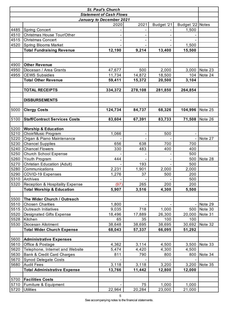| <b>St. Paul's Church</b> |                                      |                                 |                |            |                              |         |
|--------------------------|--------------------------------------|---------------------------------|----------------|------------|------------------------------|---------|
|                          |                                      | <b>Statement of Cash Flows</b>  |                |            |                              |         |
|                          |                                      | <b>January to December 2021</b> |                |            |                              |         |
|                          |                                      | 2020                            | 2021           | Budget '21 | Budget '22 Notes             |         |
| 4485                     | <b>Spring Concert</b>                |                                 |                |            | 1,500                        |         |
| 4510                     | Christmas House Tour/Other           |                                 |                |            |                              |         |
| 4515                     | <b>Christmas Concert</b>             |                                 |                |            |                              |         |
| 4520                     | <b>Spring Blooms Market</b>          |                                 |                |            | 1,500                        |         |
|                          | <b>Total Fundraising Revenue</b>     | 12,190                          | 9,214          | 13,400     | 15,500                       |         |
|                          |                                      |                                 |                |            |                              |         |
|                          |                                      |                                 |                |            |                              |         |
| 4900                     | <b>Other Revenue</b>                 |                                 |                |            |                              |         |
| 4950                     | Diocesan / Area Grants               | 47,677                          | 500            | 2,000      | 3,000                        | Note 23 |
| 4955                     | <b>CEWS Subsidies</b>                | 11,734                          | 14,872         | 18,500     | 104                          | Note 24 |
|                          | <b>Total Other Revenue</b>           | 59,411                          | 15,372         | 20,500     | 3,104                        |         |
|                          |                                      |                                 |                |            |                              |         |
|                          | <b>TOTAL RECEIPTS</b>                | 334,372                         | 278,108        | 281,850    | 264,854                      |         |
|                          |                                      |                                 |                |            |                              |         |
|                          | <b>DISBURSEMENTS</b>                 |                                 |                |            |                              |         |
|                          |                                      |                                 |                |            |                              |         |
| 5000                     | <b>Clergy Costs</b>                  | 124,734                         | 84,737         | 68,326     | 104,996                      | Note 25 |
|                          |                                      |                                 |                |            |                              |         |
| 5100                     | <b>Staff/Contract Services Costs</b> | 83,604                          | 67,391         | 83,733     | 71,508                       | Note 26 |
|                          |                                      |                                 |                |            |                              |         |
| 5200                     | <b>Worship &amp; Education</b>       |                                 |                |            |                              |         |
| 5210                     | Choir/Music Program                  | 1,066                           | $\blacksquare$ | 500        | $\qquad \qquad \blacksquare$ |         |
| 5220                     | Organ & Piano Maintenance            |                                 |                |            |                              | Note 27 |
| 5230                     | <b>Chancel Supplies</b>              | 656                             | 638            | 700        | 700                          |         |
| 5240                     | <b>Chancel Flowers</b>               | 330                             | 483            | 400        | 400                          |         |
| 5250                     | <b>Church School Expense</b>         |                                 |                |            | 500                          |         |
| 5260                     | Youth Program                        | 444                             |                |            | 500                          | Note 28 |
| 5270                     | Christian Education (Adult)          |                                 | 193            |            | 500                          |         |
| 5280                     | Communications                       | 2,231                           | 1,901          | 2,000      | 2,000                        |         |
| 5290                     | <b>COVID-19 Expenses</b>             | 1,276                           | 37             | 500        | 200                          |         |
| 5310                     | Archives                             |                                 |                |            | 500                          |         |
| 5320                     | Reception & Hospitality Expense      | (97)                            | 265            | 200        | 200                          |         |
|                          | <b>Total Worship &amp; Education</b> | 5,907                           | 3,516          | 4,300      | 5,500                        |         |
|                          |                                      |                                 |                |            |                              |         |
| 5500                     | The Wider Church / Outreach          |                                 |                |            |                              |         |
| 5510                     | <b>Chosen Charities</b>              | 1,800                           |                |            |                              | Note 29 |
| 5515                     | <b>Outreach Initiatives</b>          | 9,035                           | 718            | 1,000      | 500                          | Note 30 |
| 5520                     | Designated Gifts Expense             | 18,496                          | 17,889         | 26,300     | 20,000                       | Note 31 |
| 5528                     | Kitchen                              | 65                              | 35             | 100        | 100                          |         |
| 5530                     | Diocesan Allotment                   | 38,648                          | 38,695         | 38,695     | 30,692                       | Note 32 |
|                          | <b>Total Wider Church Expense</b>    | 68,043                          | 57,337         | 66,095     | 51,292                       |         |
|                          |                                      |                                 |                |            |                              |         |
| 5600                     | <b>Administrative Expenses</b>       |                                 |                |            |                              |         |
| 5610                     | Office & Postage                     | 4,362                           | 3,114          | 4,500      | 3,500                        | Note 33 |
| 5620                     | Telephone, Internet and Website      | 5,474                           | 4,420          | 4,300      | 4,500                        |         |
| 5630                     | Bank & Credit Card Charges           | 811                             | 790            | 800        | 800                          | Note 34 |
| 5670                     | <b>Synod Delegate Costs</b>          |                                 |                |            |                              |         |
| 5680                     | <b>Audit Fees</b>                    | 3,118                           | 3,118          | 3,200      | 3,200                        | Note 35 |
|                          | <b>Total Administrative Expense</b>  | 13,766                          | 11,442         | 12,800     | 12,000                       |         |
|                          |                                      |                                 |                |            |                              |         |
| 5700                     | <b>Facilities Costs</b>              |                                 |                |            |                              |         |
| 5710                     | Furniture & Equipment                |                                 | 75             | 1,000      | 1,000                        |         |
| 5720                     | <b>Utilities</b>                     | 22,964                          | 20,284         | 23,000     | 21,000                       |         |

See accompanying notes to the financial statements.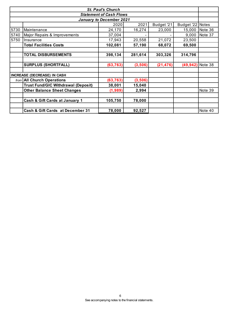| <b>St. Paul's Church</b>                                               |                                             |           |          |           |                    |                |  |  |
|------------------------------------------------------------------------|---------------------------------------------|-----------|----------|-----------|--------------------|----------------|--|--|
|                                                                        | <b>Statement of Cash Flows</b>              |           |          |           |                    |                |  |  |
|                                                                        | <b>January to December 2021</b>             |           |          |           |                    |                |  |  |
| 2021<br>2020<br>Budget '21<br>Budget '22 Notes                         |                                             |           |          |           |                    |                |  |  |
| 5730                                                                   | Maintenance                                 | 24,170    | 16,274   | 23,000    |                    | 15,000 Note 36 |  |  |
| 5740                                                                   | Major Repairs & Improvements                | 37,004    |          |           | 9,000              | Note 37        |  |  |
| 5750                                                                   | Insurance                                   | 17,943    | 20,558   | 21,072    | 23,500             |                |  |  |
|                                                                        | <b>Total Facilities Costs</b>               | 102,081   | 57,190   | 68,072    | 69,500             |                |  |  |
|                                                                        |                                             |           |          |           |                    |                |  |  |
| 398,134<br>281,614<br>303,326<br>314,796<br><b>TOTAL DISBURSEMENTS</b> |                                             |           |          |           |                    |                |  |  |
|                                                                        |                                             |           |          |           |                    |                |  |  |
|                                                                        | <b>SURPLUS (SHORTFALL)</b>                  | (63, 763) | (3,506)  | (21, 476) | $(49,942)$ Note 38 |                |  |  |
|                                                                        |                                             |           |          |           |                    |                |  |  |
|                                                                        | <b>INCREASE (DECREASE) IN CASH</b>          |           |          |           |                    |                |  |  |
|                                                                        | from <b>All Church Operations</b>           | (63, 763) | (3, 506) |           |                    |                |  |  |
|                                                                        | <b>Trust Fund/GIC Withdrawal (Deposit)</b>  | 38,001    | 15,040   |           |                    |                |  |  |
|                                                                        | <b>Other Balance Sheet Changes</b>          | (1,989)   | 2,994    |           |                    | Note 39        |  |  |
|                                                                        |                                             |           |          |           |                    |                |  |  |
|                                                                        | Cash & Gift Cards at January 1              | 105,750   | 78,000   |           |                    |                |  |  |
|                                                                        |                                             |           |          |           |                    |                |  |  |
|                                                                        | <b>Cash &amp; Gift Cards at December 31</b> | 78,000    | 92,527   |           |                    | Note 40        |  |  |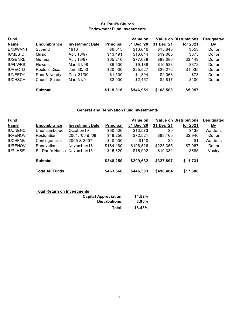#### **St. Paul's Church Endowment Fund Investments**

| <b>Fund</b>    |                    |                        |                  | Value on   | <b>Value on Distributions</b> |          | <b>Designated</b> |
|----------------|--------------------|------------------------|------------------|------------|-------------------------------|----------|-------------------|
| <b>Name</b>    | <b>Encumbrance</b> | <b>Investment Date</b> | <b>Principal</b> | 31 Dec '20 | 31 Dec '21                    | for 2021 | <u>By</u>         |
| <b>ENDWMNT</b> | Stipend            | 1916                   | \$6,615          | \$13,646   | \$15,648                      | \$553    | Donor             |
| <b>IUMUSIC</b> | Music              | Apr. 18/97             | \$13,491         | \$16,644   | \$19,085                      | \$675    | Donor             |
| <b>IUGENRL</b> | General            | Apr. 18/97             | \$65,210         | \$77,688   | \$89,085                      | \$3,149  | Donor             |
| <b>IUFLWRS</b> | <b>Flowers</b>     | Mar. 31/98             | \$6,500          | \$9,186    | \$10,533                      | \$372    | Donor             |
| <b>IURECTD</b> | Rector's Disc.     | Jun. 30/00             | \$20,000         | \$25,527   | \$29,272                      | \$1,035  | Donor             |
| <b>IUNEEDY</b> | Poor & Needy       | Dec. 31/00             | \$1,500          | \$1,804    | \$2,068                       | \$73     | Donor             |
| <b>IUCHSCH</b> | Church School      | Mar. 31/01             | \$2,000          | \$2,457    | \$2,817                       | \$100    | Donor             |
|                | Subtotal           |                        | \$115,316        | \$146,951  | \$168,508                     | \$5,957  |                   |

# **General and Renovation Fund Investments**

| <b>Fund</b>    |                        |                        |                  | Value on   | <b>Value on Distributions</b> |          | <b>Designated</b> |
|----------------|------------------------|------------------------|------------------|------------|-------------------------------|----------|-------------------|
| <b>Name</b>    | <b>Encumbrance</b>     | <b>Investment Date</b> | <b>Principal</b> | 31 Dec '20 | 31 Dec '21                    | for 2021 | <u>Bv</u>         |
| <b>IUUNENC</b> | Unencumbered           | October/19             | \$60,000         | \$13,573   | \$0                           | \$138    | Wardens           |
| <b>IRRENOV</b> | Restoration            | 2001, '06 & '08        | \$48,250         | \$72,521   | \$83,160                      | \$2,940  | Donor             |
| <b>IUCHFAB</b> | Contingencies          | 2005 & 2007            | \$40,000         | \$110      | \$0                           | \$1      | Wardens           |
| <b>IURENOV</b> | <b>Renovations</b>     | November/16            | \$184,180        | \$196,526  | \$225,355                     | \$7,967  | Donor             |
| <b>IUPLHSE</b> | St. Paul's House       | November/16            | \$15,820         | \$16,902   | \$19,381                      | \$685    | Vestry            |
|                | <b>Subtotal</b>        |                        | \$348,250        | \$299,632  | \$327,897                     | \$11,731 |                   |
|                | <b>Total All Funds</b> |                        | \$463,566        | \$446,583  | \$496,404                     | \$17,688 |                   |

|  |  |  |  | <b>Total Return on Investments</b> |
|--|--|--|--|------------------------------------|
|--|--|--|--|------------------------------------|

| <b>Capital Appreciation:</b> | 14.52% |
|------------------------------|--------|
| Distributions:               | 3.96%  |
| Total:                       | 18.48% |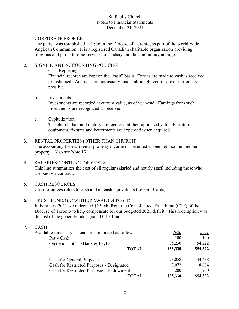### 1. CORPORATE PROFILE

The parish was established in 1836 in the Diocese of Toronto, as part of the world-wide Anglican Communion. It is a registered Canadian charitable organization providing religious and philanthropic services to Lindsay and the community at large.

### 2. SIGNIFICANT ACCOUNTING POLICIES

a. Cash Reporting

Financial records are kept on the "cash" basis. Entries are made as cash is received or disbursed. Accruals are not usually made, although records are as current as possible.

#### b. Investments

Investments are recorded at current value, as of year-end. Earnings from such investments are recognized as received.

#### c. Capitalization

The church, hall and rectory are recorded at their appraised value. Furniture, equipment, fixtures and betterments are expensed when acquired.

### 3. RENTAL PROPERTIES (OTHER THAN CHURCH)

The accounting for each rental property income is presented as one net income line per property. Also see Note 19.

### 4. SALARIES/CONTRACTOR COSTS

This line summarizes the cost of all regular salaried and hourly staff, including those who are paid via contract.

### 5. CASH RESOURCES

Cash resources refers to cash and all cash equivalents (i.e. Gift Cards)

### 6. TRUST FUND/GIC WITHDRAWAL (DEPOSIT)

In February 2021 we redeemed \$15,040 from the Consolidated Trust Fund (CTF) of the Diocese of Toronto to help compensate for our budgeted 2021 deficit. This redemption was the last of the general/undesignated CTF funds.

7. CASH

| Available funds at year-end are comprised as follows: | 2020       | <u> 2021</u> |
|-------------------------------------------------------|------------|--------------|
| Petty Cash                                            | 100        | 100          |
| On deposit at TD Bank & PayPal                        | 35,230     | 54,222       |
| <b>TOTAL</b>                                          | \$35,330   | \$54,322     |
| <b>Cash for General Purposes</b>                      | 28,058     | 44,438       |
| Cash for Restricted Purposes - Designated             | 7,072      | 8,604        |
| Cash for Restricted Purposes - Endowment              | <b>200</b> | 1,280        |
| TOTAL.                                                | \$35,330   | \$54,322     |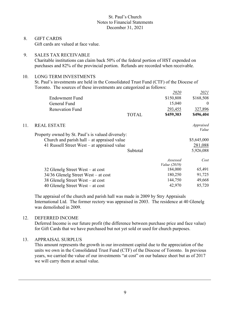8. GIFT CARDS Gift cards are valued at face value.

# 9. SALES TAX RECEIVABLE

Charitable institutions can claim back 50% of the federal portion of HST expended on purchases and 82% of the provincial portion. Refunds are recorded when receivable.

# 10. LONG TERM INVESTMENTS

St. Paul's investments are held in the Consolidated Trust Fund (CTF) of the Diocese of Toronto. The sources of these investments are categorized as follows:

|                                     |                                  | 2020                                                                                                                                              | 2021                           |
|-------------------------------------|----------------------------------|---------------------------------------------------------------------------------------------------------------------------------------------------|--------------------------------|
| <b>Endowment Fund</b>               |                                  | \$150,808                                                                                                                                         | \$168,508                      |
| General Fund                        |                                  | 15,040                                                                                                                                            | $\theta$                       |
| <b>Renovation Fund</b>              |                                  | 293,455                                                                                                                                           | 327,896                        |
|                                     | <b>TOTAL</b>                     | \$459,303                                                                                                                                         | \$496,404                      |
| <b>REAL ESTATE</b>                  |                                  |                                                                                                                                                   | Appraised<br>Value             |
|                                     |                                  |                                                                                                                                                   |                                |
|                                     |                                  |                                                                                                                                                   | \$5,645,000                    |
|                                     |                                  |                                                                                                                                                   | 281,088                        |
|                                     | Subtotal                         |                                                                                                                                                   | 5,926,088                      |
|                                     |                                  | Assessed                                                                                                                                          | Cost                           |
|                                     |                                  |                                                                                                                                                   |                                |
|                                     |                                  |                                                                                                                                                   | 65,491                         |
| 34/36 Glenelg Street West – at cost |                                  | 180,250                                                                                                                                           | 91,725                         |
| 38 Glenelg Street West – at cost    |                                  | 144,750                                                                                                                                           | 49,668                         |
| 40 Glenelg Street West – at cost    |                                  | 42,970                                                                                                                                            | 85,720                         |
|                                     | 32 Glenelg Street West – at cost | Property owned by St. Paul's is valued diversely:<br>Church and parish hall $-$ at appraised value<br>41 Russell Street West – at appraised value | <i>Value</i> (2019)<br>184,000 |

The appraisal of the church and parish hall was made in 2009 by Stry Appraisals International Ltd. The former rectory was appraised in 2003. The residence at 40 Glenelg was demolished in 2009.

# 12. DEFERRED INCOME

Deferred Income is our future profit (the difference between purchase price and face value) for Gift Cards that we have purchased but not yet sold or used for church purposes.

# 13. APPRAISAL SURPLUS

This amount represents the growth in our investment capital due to the appreciation of the units we own in the Consolidated Trust Fund (CTF) of the Diocese of Toronto. In previous years, we carried the value of our investments "at cost" on our balance sheet but as of 2017 we will carry them at actual value.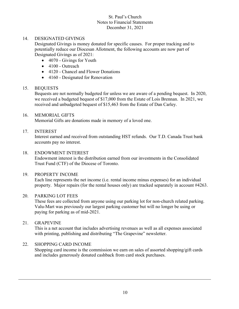### 14. DESIGNATED GIVINGS

Designated Givings is money donated for specific causes. For proper tracking and to potentially reduce our Diocesan Allotment, the following accounts are now part of Designated Givings as of 2021:

- 4070 Givings for Youth
- 4100 Outreach
- 4120 Chancel and Flower Donations
- 4160 Designated for Renovation

### 15. BEQUESTS

Bequests are not normally budgeted for unless we are aware of a pending bequest. In 2020, we received a budgeted bequest of \$17,000 from the Estate of Lois Brennan. In 2021, we received and unbudgeted bequest of \$15,463 from the Estate of Dan Carley.

# 16. MEMORIAL GIFTS

Memorial Gifts are donations made in memory of a loved one.

### 17. INTEREST

Interest earned and received from outstanding HST refunds. Our T.D. Canada Trust bank accounts pay no interest.

### 18. ENDOWMENT INTEREST

Endowment interest is the distribution earned from our investments in the Consolidated Trust Fund (CTF) of the Diocese of Toronto.

### 19. PROPERTY INCOME

Each line represents the net income (i.e. rental income minus expenses) for an individual property. Major repairs (for the rental houses only) are tracked separately in account #4263.

# 20. PARKING LOT FEES

These fees are collected from anyone using our parking lot for non-church related parking. Valu-Mart was previously our largest parking customer but will no longer be using or paying for parking as of mid-2021.

### 21. GRAPEVINE

This is a net account that includes advertising revenues as well as all expenses associated with printing, publishing and distributing "The Grapevine" newsletter.

### 22. SHOPPING CARD INCOME

Shopping card income is the commission we earn on sales of assorted shopping/gift cards and includes generously donated cashback from card stock purchases.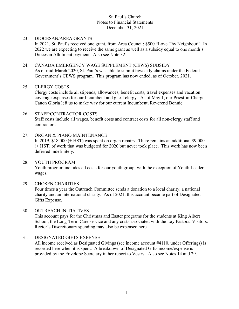#### 23. DIOCESAN/AREA GRANTS

In 2021, St. Paul's received one grant, from Area Council: \$500 "Love Thy Neighbour". In 2022 we are expecting to receive the same grant as well as a subsidy equal to one month's Diocesan Allotment payment. Also see Note 32.

#### 24. CANADA EMERGENCY WAGE SUPPLEMENT (CEWS) SUBSIDY

As of mid-March 2020, St. Paul's was able to submit biweekly claims under the Federal Government's CEWS program. This program has now ended, as of October, 2021.

#### 25. CLERGY COSTS

Clergy costs include all stipends, allowances, benefit costs, travel expenses and vacation coverage expenses for our Incumbent and guest clergy. As of May 1, our Priest-in-Charge Canon Gloria left us to make way for our current Incumbent, Reverend Bonnie.

# 26. STAFF/CONTRACTOR COSTS

Staff costs include all wages, benefit costs and contract costs for all non-clergy staff and contractors.

#### 27. ORGAN & PIANO MAINTENANCE

In 2019, \$18,000 (+ HST) was spent on organ repairs. There remains an additional \$9,000 (+ HST) of work that was budgeted for 2020 but never took place. This work has now been deferred indefinitely.

### 28. YOUTH PROGRAM

Youth program includes all costs for our youth group, with the exception of Youth Leader wages.

### 29. CHOSEN CHARITIES

Four times a year the Outreach Committee sends a donation to a local charity, a national charity and an international charity. As of 2021, this account became part of Designated Gifts Expense.

### 30. OUTREACH INITIATIVES

This account pays for the Christmas and Easter programs for the students at King Albert School, the Long-Term Care service and any costs associated with the Lay Pastoral Visitors. Rector's Discretionary spending may also be expensed here.

### 31. DESIGNATED GIFTS EXPENSE

All income received as Designated Givings (see income account #4110, under Offerings) is recorded here when it is spent. A breakdown of Designated Gifts income/expense is provided by the Envelope Secretary in her report to Vestry. Also see Notes 14 and 29.